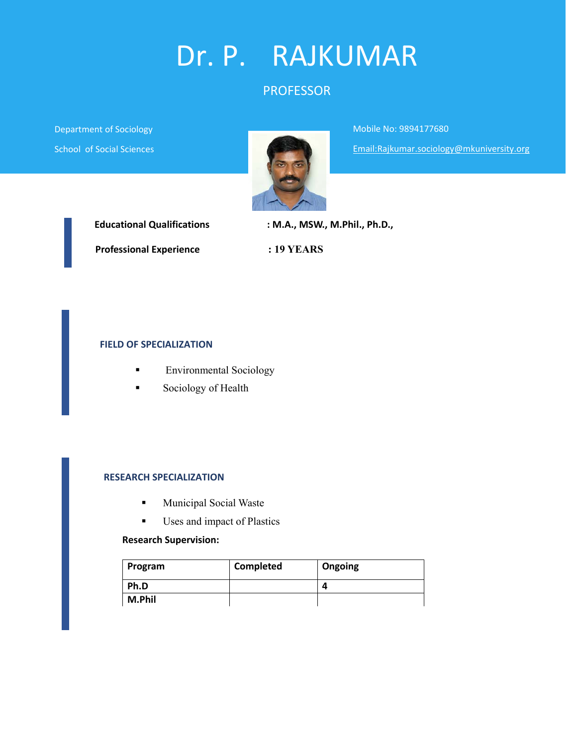# Dr. P. RAJKUMAR

## PROFESSOR

Department of Sociology School of Social Sciences



Mobile No: 9894177680

Email:Rajkumar.sociology@mkuniversity.org

 **Educational Qualifications : M.A., MSW., M.Phil., Ph.D.,**

 **Professional Experience : 19 YEARS**

### **FIELD OF SPECIALIZATION**

- **Environmental Sociology**
- Sociology of Health

#### **RESEARCH SPECIALIZATION**

- **Municipal Social Waste**
- **Uses and impact of Plastics**

#### **Research Supervision:**

| Program | Completed | Ongoing |
|---------|-----------|---------|
| Ph.D    |           | л       |
| M.Phil  |           |         |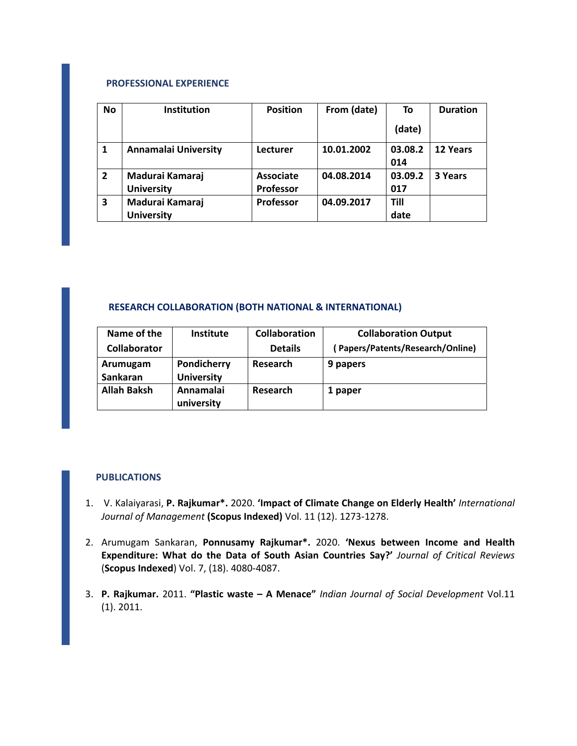#### **PROFESSIONAL EXPERIENCE**

| <b>No</b>      | <b>Institution</b>          | <b>Position</b>  | From (date) | To      | <b>Duration</b> |
|----------------|-----------------------------|------------------|-------------|---------|-----------------|
|                |                             |                  |             | (date)  |                 |
| 1              | <b>Annamalai University</b> | Lecturer         | 10.01.2002  | 03.08.2 | 12 Years        |
|                |                             |                  |             | 014     |                 |
| $\overline{2}$ | Madurai Kamaraj             | <b>Associate</b> | 04.08.2014  | 03.09.2 | 3 Years         |
|                | <b>University</b>           | Professor        |             | 017     |                 |
| 3              | Madurai Kamaraj             | <b>Professor</b> | 04.09.2017  | Till    |                 |
|                | <b>University</b>           |                  |             | date    |                 |

### **RESEARCH COLLABORATION (BOTH NATIONAL & INTERNATIONAL)**

| Name of the        | <b>Institute</b>  | Collaboration  | <b>Collaboration Output</b>      |
|--------------------|-------------------|----------------|----------------------------------|
| Collaborator       |                   | <b>Details</b> | (Papers/Patents/Research/Online) |
| Arumugam           | Pondicherry       | Research       | 9 papers                         |
| Sankaran           | <b>University</b> |                |                                  |
| <b>Allah Baksh</b> | Annamalai         | Research       | 1 paper                          |
|                    | university        |                |                                  |

#### **PUBLICATIONS**

- 1. V. Kalaiyarasi, **P. Rajkumar\*.** 2020. **'Impact of Climate Change on Elderly Health'** *International Journal of Management* **(Scopus Indexed)** Vol. 11 (12). 1273‐1278.
- 2. Arumugam Sankaran, **Ponnusamy Rajkumar\*.** 2020. **'Nexus between Income and Health Expenditure: What do the Data of South Asian Countries Say?'** *Journal of Critical Reviews* (**Scopus Indexed**) Vol. 7, (18). 4080‐4087.
- 3. **P. Rajkumar.** 2011. **"Plastic waste – A Menace"** *Indian Journal of Social Development* Vol.11 (1). 2011.